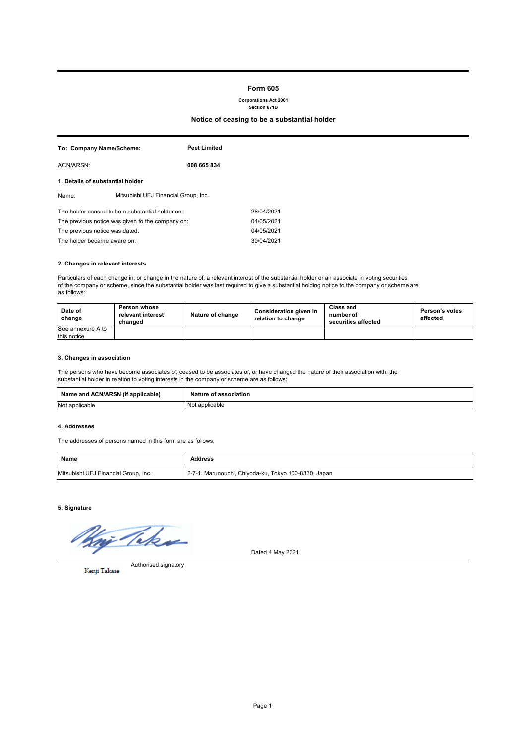# **Form 605**

**Corporations Act 2001 Section 671B**

**Notice of ceasing to be a substantial holder**

| To: Company Name/Scheme:                         |                                      | <b>Peet Limited</b> |            |
|--------------------------------------------------|--------------------------------------|---------------------|------------|
| ACN/ARSN:                                        |                                      | 008 665 834         |            |
| 1. Details of substantial holder                 |                                      |                     |            |
| Name:                                            | Mitsubishi UFJ Financial Group, Inc. |                     |            |
| The holder ceased to be a substantial holder on: |                                      |                     | 28/04/2021 |
| The previous notice was given to the company on: |                                      | 04/05/2021          |            |
| The previous notice was dated:                   |                                      | 04/05/2021          |            |
| The holder became aware on:                      |                                      |                     | 30/04/2021 |

## **2. Changes in relevant interests**

Particulars of each change in, or change in the nature of, a relevant interest of the substantial holder or an associate in voting securities of the company or scheme, since the substantial holder was last required to give a substantial holding notice to the company or scheme are as follows:

| Date of<br>change | Person whose<br>relevant interest<br>changed | Nature of change | Consideration given in<br>relation to change | Class and<br>number of<br>securities affected | <b>Person's votes</b><br>affected |
|-------------------|----------------------------------------------|------------------|----------------------------------------------|-----------------------------------------------|-----------------------------------|
| See annexure A to |                                              |                  |                                              |                                               |                                   |
| this notice       |                                              |                  |                                              |                                               |                                   |

## **3. Changes in association**

The persons who have become associates of, ceased to be associates of, or have changed the nature of their association with, the substantial holder in relation to voting interests in the company or scheme are as follows:

| Name and ACN/ARSN (if a<br>$\cdots$<br>f applicable) | Nati<br>`association<br>ur<br>. nt |
|------------------------------------------------------|------------------------------------|
| Not applicable                                       | <b>No</b><br>applicable            |

### **4. Addresses**

The addresses of persons named in this form are as follows:

| Name                                 | <b>Address</b>                                       |
|--------------------------------------|------------------------------------------------------|
| Mitsubishi UFJ Financial Group, Inc. | 2-7-1, Marunouchi, Chiyoda-ku, Tokyo 100-8330, Japan |

**5. Signature**

Take

Dated 4 May 2021

Authorised signatory Kenji Takase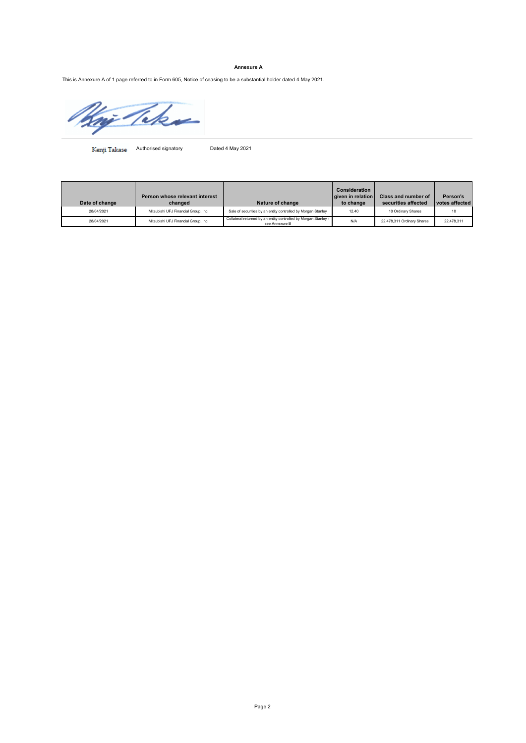# **Annexure A**

This is Annexure A of 1 page referred to in Form 605, Notice of ceasing to be a substantial holder dated 4 May 2021.

æ

Kenji Takase Authorised signatory Dated 4 May 2021

| Date of change | Person whose relevant interest<br>changed | Nature of change                                                                  | Consideration<br>given in relation<br>to change | <b>Class and number of</b><br>securities affected | Person's<br>votes affected |
|----------------|-------------------------------------------|-----------------------------------------------------------------------------------|-------------------------------------------------|---------------------------------------------------|----------------------------|
| 28/04/2021     | Mitsubishi UFJ Financial Group, Inc.      | Sale of securities by an entity controlled by Morgan Stanley                      | 12.40                                           | 10 Ordinary Shares                                | 10                         |
| 28/04/2021     | Mitsubishi UFJ Financial Group, Inc.      | Collateral returned by an entity controlled by Morgan Stanley -<br>see Annexure B | N/A                                             | 22,478,311 Ordinary Shares                        | 22.478.311                 |